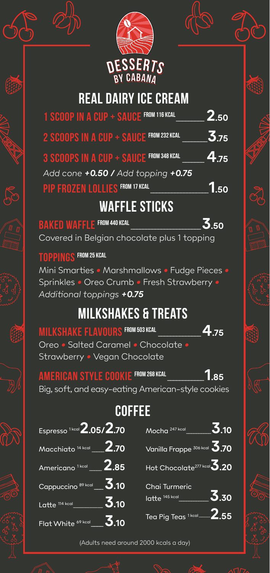

## **Real Dairy Ice Cream**

| 1 SCOOP IN A CUP + SAUCE FROM 116 KCAL  | 2.50 |
|-----------------------------------------|------|
| 2 SCOOPS IN A CUP + SAUCE FROM 232 KCAL | 3.75 |
| 3 SCOOPS IN A CUP + SAUCE FROM 348 KCAL | 4.75 |
| Add cone +0.50 / Add topping +0.75      |      |
| PIP FROZEN LOLLIES FROM 17 KCAL         | 50   |

### **Waffle Sticks**

**Baked waffle From 440 kcal**\_\_\_\_\_\_\_\_\_\_\_\_\_\_\_\_\_\_\_\_\_\_\_**3.50** Covered in Belgian chocolate plus 1 topping

#### **Toppings From 25 kcal**

Mini Smarties *•* Marshmallows *•* Fudge Pieces *•* Sprinkles *•* Oreo Crumb *•* Fresh Strawberry *• Additional toppings +0.75*

### **Milkshakes & Treats**

**Milkshake flavours From 503 kcal** \_\_\_\_\_\_\_\_\_\_\_\_\_\_**4.75** Oreo *•* Salted Caramel *•* Chocolate *•* Strawberry *•* Vegan Chocolate

**American style cookie From 268 kcal**\_\_\_\_\_\_\_\_\_\_\_\_**1.85** Big, soft, and easy-eating American-style cookies

# **Coffee**

| Espresso <sup>1kcal</sup> 2.05/2.70                                    |                                                     |
|------------------------------------------------------------------------|-----------------------------------------------------|
| $\overline{\mathsf{Macchiato}}$ <sup>14 kcal</sup> __ <b>2.70</b>      | Vanilla Frappe 306 kcal $\overline{\mathbf{3}}$ .70 |
| Americano <sup>1kcal</sup> ___ 2.85                                    | Hot Chocolate <sup>277 kcal</sup> 3.20              |
| Cappuccino 89 kcal $\underline{\mathbf{3}}$ .10                        | Chai Turmeric                                       |
| Latte $\overline{\phantom{a}^{114\,\text{kcal}}\,}^{114\,\text{kcal}}$ | 3.30<br>$I$ atte $145$ kcal                         |
| Flat White $\frac{69 \text{ kcal}}{2.10}$                              | Tea Pig Teas $1$ kcal <b>____2.55</b>               |

(Adults need around 2000 kcals a day)